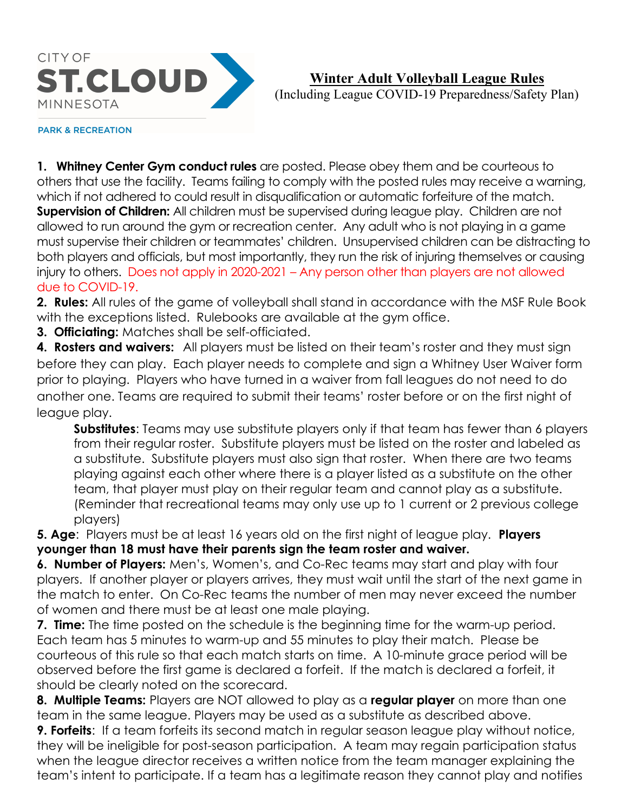

# Winter Adult Volleyball League Rules

(Including League COVID-19 Preparedness/Safety Plan)

#### **PARK & RECREATION**

1. Whitney Center Gym conduct rules are posted. Please obey them and be courteous to others that use the facility. Teams failing to comply with the posted rules may receive a warning, which if not adhered to could result in disqualification or automatic forfeiture of the match. **Supervision of Children:** All children must be supervised during league play. Children are not allowed to run around the gym or recreation center. Any adult who is not playing in a game must supervise their children or teammates' children. Unsupervised children can be distracting to both players and officials, but most importantly, they run the risk of injuring themselves or causing injury to others. Does not apply in 2020-2021 – Any person other than players are not allowed due to COVID-19.

2. Rules: All rules of the game of volleyball shall stand in accordance with the MSF Rule Book with the exceptions listed. Rulebooks are available at the gym office.

3. Officiating: Matches shall be self-officiated.

4. Rosters and waivers: All players must be listed on their team's roster and they must sign before they can play. Each player needs to complete and sign a Whitney User Waiver form prior to playing. Players who have turned in a waiver from fall leagues do not need to do another one. Teams are required to submit their teams' roster before or on the first night of league play.

Substitutes: Teams may use substitute players only if that team has fewer than 6 players from their regular roster. Substitute players must be listed on the roster and labeled as a substitute. Substitute players must also sign that roster. When there are two teams playing against each other where there is a player listed as a substitute on the other team, that player must play on their regular team and cannot play as a substitute. (Reminder that recreational teams may only use up to 1 current or 2 previous college players)

5. Age: Players must be at least 16 years old on the first night of league play. Players younger than 18 must have their parents sign the team roster and waiver.

**6. Number of Players:** Men's, Women's, and Co-Rec teams may start and play with four players. If another player or players arrives, they must wait until the start of the next game in the match to enter. On Co-Rec teams the number of men may never exceed the number of women and there must be at least one male playing.

7. Time: The time posted on the schedule is the beginning time for the warm-up period. Each team has 5 minutes to warm-up and 55 minutes to play their match. Please be courteous of this rule so that each match starts on time. A 10-minute grace period will be observed before the first game is declared a forfeit. If the match is declared a forfeit, it should be clearly noted on the scorecard.

8. Multiple Teams: Players are NOT allowed to play as a regular player on more than one team in the same league. Players may be used as a substitute as described above.

**9. Forfeits:** If a team forfeits its second match in regular season league play without notice, they will be ineligible for post-season participation. A team may regain participation status when the league director receives a written notice from the team manager explaining the team's intent to participate. If a team has a legitimate reason they cannot play and notifies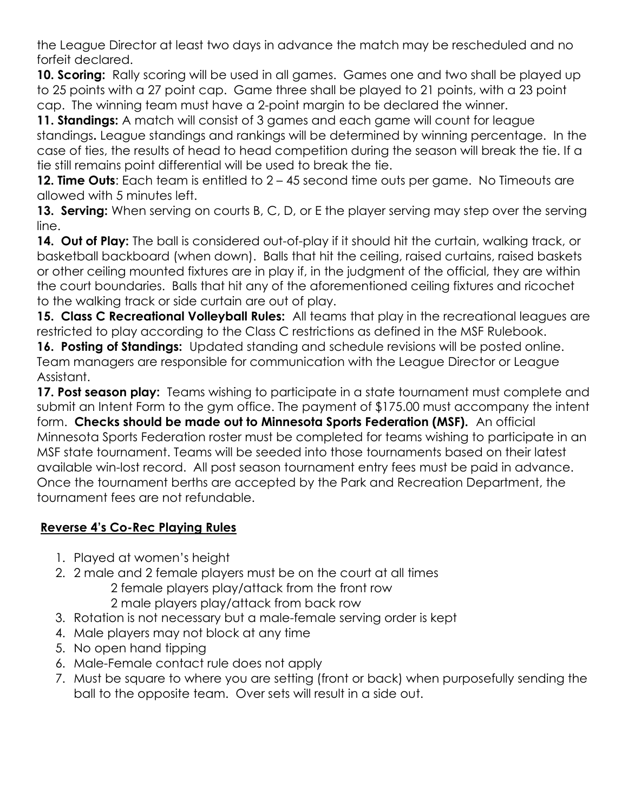the League Director at least two days in advance the match may be rescheduled and no forfeit declared.

10. Scoring: Rally scoring will be used in all games. Games one and two shall be played up to 25 points with a 27 point cap. Game three shall be played to 21 points, with a 23 point cap. The winning team must have a 2-point margin to be declared the winner.

11. Standings: A match will consist of 3 games and each game will count for league standings. League standings and rankings will be determined by winning percentage. In the case of ties, the results of head to head competition during the season will break the tie. If a tie still remains point differential will be used to break the tie.

12. Time Outs: Each team is entitled to  $2 - 45$  second time outs per game. No Timeouts are allowed with 5 minutes left.

13. Serving: When serving on courts B, C, D, or E the player serving may step over the serving line.

14. Out of Play: The ball is considered out-of-play if it should hit the curtain, walking track, or basketball backboard (when down). Balls that hit the ceiling, raised curtains, raised baskets or other ceiling mounted fixtures are in play if, in the judgment of the official, they are within the court boundaries. Balls that hit any of the aforementioned ceiling fixtures and ricochet to the walking track or side curtain are out of play.

15. Class C Recreational Volleyball Rules: All teams that play in the recreational leagues are restricted to play according to the Class C restrictions as defined in the MSF Rulebook.

16. Posting of Standings: Updated standing and schedule revisions will be posted online. Team managers are responsible for communication with the League Director or League Assistant.

17. Post season play: Teams wishing to participate in a state tournament must complete and submit an Intent Form to the gym office. The payment of \$175.00 must accompany the intent form. Checks should be made out to Minnesota Sports Federation (MSF). An official Minnesota Sports Federation roster must be completed for teams wishing to participate in an MSF state tournament. Teams will be seeded into those tournaments based on their latest available win-lost record. All post season tournament entry fees must be paid in advance. Once the tournament berths are accepted by the Park and Recreation Department, the tournament fees are not refundable.

## Reverse 4's Co-Rec Playing Rules

- 1. Played at women's height
- 2. 2 male and 2 female players must be on the court at all times
	- 2 female players play/attack from the front row
		- 2 male players play/attack from back row
- 3. Rotation is not necessary but a male-female serving order is kept
- 4. Male players may not block at any time
- 5. No open hand tipping
- 6. Male-Female contact rule does not apply
- 7. Must be square to where you are setting (front or back) when purposefully sending the ball to the opposite team. Over sets will result in a side out.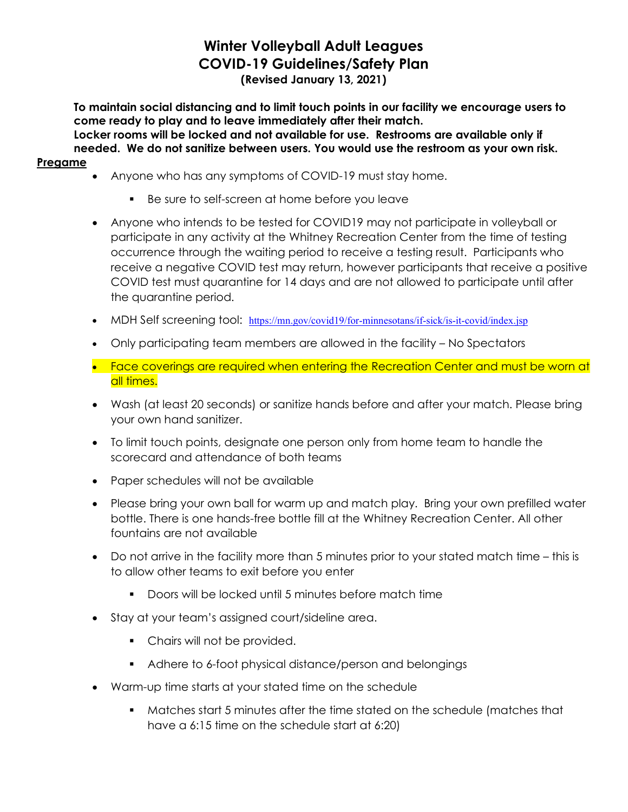## Winter Volleyball Adult Leagues COVID-19 Guidelines/Safety Plan (Revised January 13, 2021)

To maintain social distancing and to limit touch points in our facility we encourage users to come ready to play and to leave immediately after their match. Locker rooms will be locked and not available for use. Restrooms are available only if needed. We do not sanitize between users. You would use the restroom as your own risk.

#### Pregame

- Anyone who has any symptoms of COVID-19 must stay home.
	- Be sure to self-screen at home before you leave
- Anyone who intends to be tested for COVID19 may not participate in volleyball or participate in any activity at the Whitney Recreation Center from the time of testing occurrence through the waiting period to receive a testing result. Participants who receive a negative COVID test may return, however participants that receive a positive COVID test must quarantine for 14 days and are not allowed to participate until after the quarantine period.
- MDH Self screening tool: https://mn.gov/covid19/for-minnesotans/if-sick/is-it-covid/index.jsp
- Only participating team members are allowed in the facility No Spectators
- Face coverings are required when entering the Recreation Center and must be worn at all times.
- Wash (at least 20 seconds) or sanitize hands before and after your match. Please bring your own hand sanitizer.
- To limit touch points, designate one person only from home team to handle the scorecard and attendance of both teams
- Paper schedules will not be available
- Please bring your own ball for warm up and match play. Bring your own prefilled water bottle. There is one hands-free bottle fill at the Whitney Recreation Center. All other fountains are not available
- Do not arrive in the facility more than 5 minutes prior to your stated match time this is to allow other teams to exit before you enter
	- **Doors will be locked until 5 minutes before match time**
- Stay at your team's assigned court/sideline area.
	- **•** Chairs will not be provided.
	- Adhere to 6-foot physical distance/person and belongings
- Warm-up time starts at your stated time on the schedule
	- Matches start 5 minutes after the time stated on the schedule (matches that have a 6:15 time on the schedule start at 6:20)